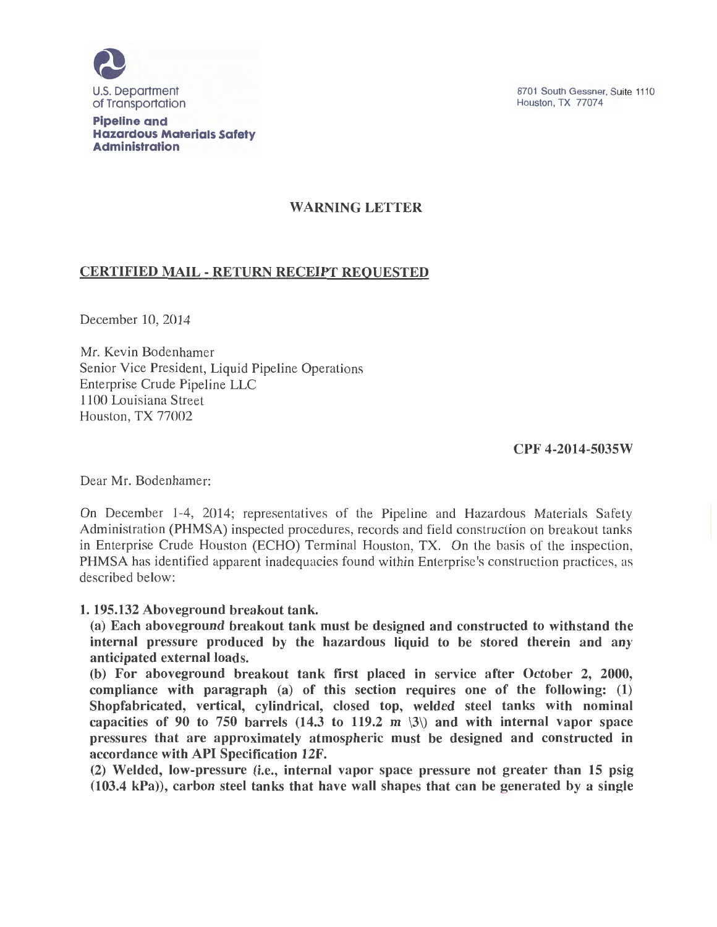

Pipeline and Hazardous Materials Safety Administration

# WARNING LETTER

# CERTIFIED MAIL- RETURN RECEIPT REQUESTED

December 10, 2014

Mr. Kevin Bodenhamer Senior Vice President, Liquid Pipeline Operations Enterprise Crude Pipeline LLC 1100 Louisiana Street Houston, TX 77002

### CPF 4-2014-5035W

Dear Mr. Bodenhamer:

On December 1-4, 2014; representatives of the Pipeline and Hazardous Materials Safety Administration (PHMSA) inspected procedures, records and field construction on breakout tanks in Enterprise Crude Houston (ECHO) Terminal Houston, TX. On the basis of the inspection, PHMSA has identified apparent inadequacies found within Enterprise's construction practices, as described below:

#### 1. 195.132 Aboveground breakout tank.

(a) Each aboveground breakout tank must be designed and constructed to withstand the internal pressure produced by the hazardous liquid to be stored therein and any anticipated external loads.

(b) For aboveground breakout tank first placed in service after October 2, 2000, compliance with paragraph (a) of this section requires one of the following: (1) Shopfabricated, vertical, cylindrical, closed top, welded steel tanks with nominal capacities of 90 to 750 barrels (14.3 to 119.2 m  $\langle 3 \rangle$ ) and with internal vapor space pressures that are approximately atmospheric must be designed and constructed in accordance with API Specification 12F.

(2) Welded, low-pressure (i.e., internal vapor space pressure not greater than 15 psig (103.4 kPa)), carbon steel tanks that have wall shapes that can be generated by a single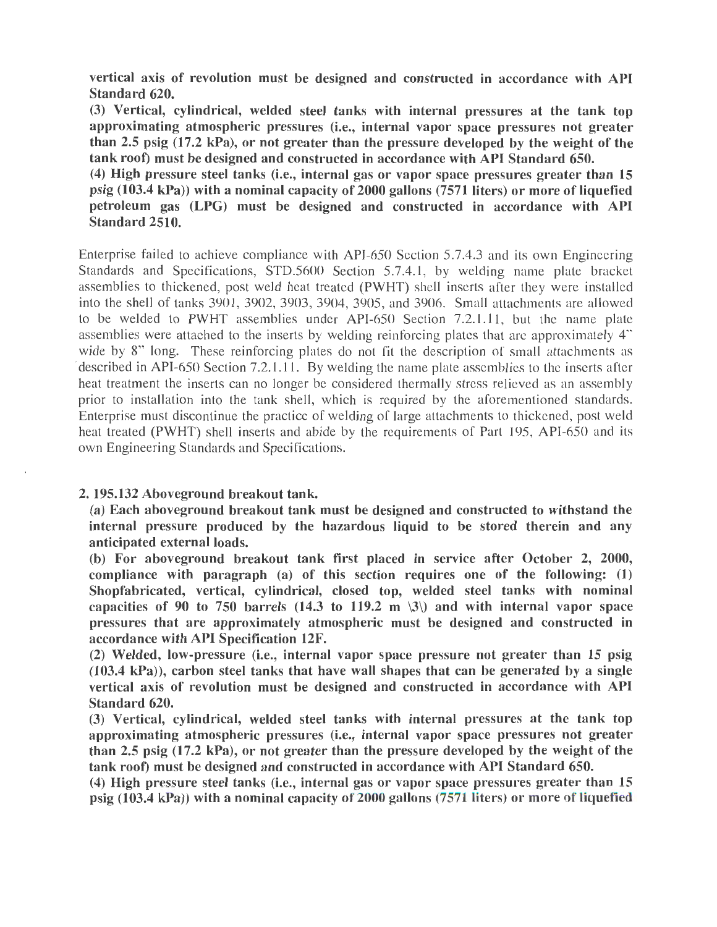vertical axis of revolution must be designed and constructed in accordance with API Standard 620.

(3) Vertical, cylindrical, welded steel tanks with internal pressures at the tank top approximating atmospheric pressures (i.e., internal vapor space pressures not greater than 2.5 psig  $(17.2 \text{ kPa})$ , or not greater than the pressure developed by the weight of the tank roof) must be designed and constructed in accordance with API Standard 650.

(4) High pressure steel tanks (i.e., internal gas or vapor space pressures greater than 15 psig  $(103.4 \text{ kPa})$ ) with a nominal capacity of 2000 gallons  $(7571 \text{ liters})$  or more of liquefied petroleum gas (LPG) must be designed and constructed in accordance with API Standard 2510.

Enterprise failed to achieve compliance with API-650 Section 5.7.4.3 and its own Engineering Standards and Specifications, STD.5600 Section 5.7.4.1, by welding name plate bracket assemblies to thickened, post weld heat treated (PWHT) shell inserts after they were installed into the shell of tanks 3901, 3902, 3903, 3904, 3905, and 3906. Small attachments are allowed to be welded to PWHT assemblies under API-650 Section 7.2.1.11, but the name plate assemblies were attached to the inserts by welding reinforcing plates that are approximately 4" wide by 8" long. These reinforcing plates do not fit the description of small attachments as described in API-650 Section 7.2.1.11. By welding the name plate assemblies to the inserts after heat treatment the inserts can no longer be considered thermally stress relieved as an assembly prior to installation into the tank shell, which is required by the aforementioned standards. Enterprise must discontinue the practice of welding of large attachments to thickened, post weld heat treated (PWHT) shell inserts and abide by the requirements of Part 195, API-650 and its own Engineering Standards and Specifications.

#### 2. 195.132 Aboveground breakout tank.

(a) Each aboveground breakout tank must be designed and constructed to withstand the internal pressure produced by the hazardous liquid to be stored therein and any anticipated external loads.

(b) For aboveground breakout tank first placed in service after October 2, 2000, compliance with paragraph (a) of this section requires one of the following:  $(1)$ Shopfabricated, vertical, cylindrical, closed top, welded steel tanks with nominal capacities of 90 to 750 barrels (14.3 to 119.2 m  $\langle 3 \rangle$ ) and with internal vapor space pressures that are approximately atmospheric must be designed and constructed in accordance with API Specification 12F.

(2) Welded, low-pressure (i.e., internal vapor space pressure not greater than 15 psig (103.4 kPa)), carbon steel tanks that have wall shapes that can be generated by a single vertical axis of revolution must be designed and constructed in accordance with API Standard 620.

(3) Vertical, cylindrical, welded steel tanks with internal pressures at the tank top approximating atmospheric pressures (i.e., internal vapor space pressures not greater than 2.5 psig (17.2 kPa), or not greater than the pressure developed by the weight of the tank roof) must be designed and constructed in accordance with API Standard 650.

(4) High pressure steel tanks (i.e., internal gas or vapor space pressures greater than 15 psig  $(103.4 \text{ kPa})$ ) with a nominal capacity of 2000 gallons  $(7571 \text{ liters})$  or more of liquefied